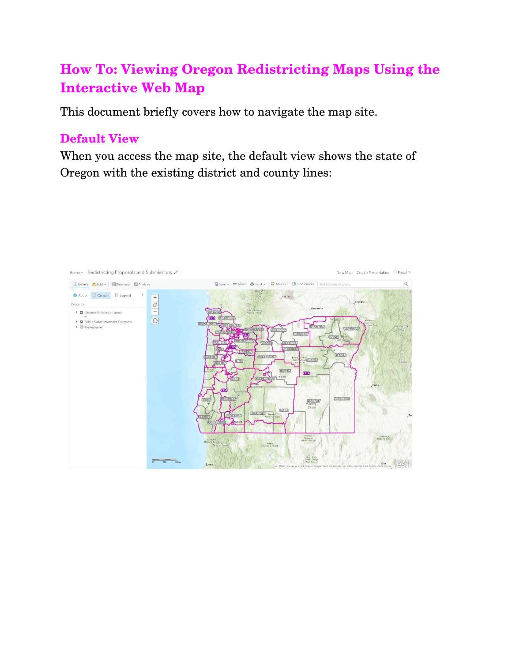# **How To: Viewing Oregon Redistricting Maps Using the Interactive Web Map**

This document briefly covers how to navigate the map site.

#### **Default View**

When you access the map site, the default view shows the state of Oregon with the existing district and county lines:

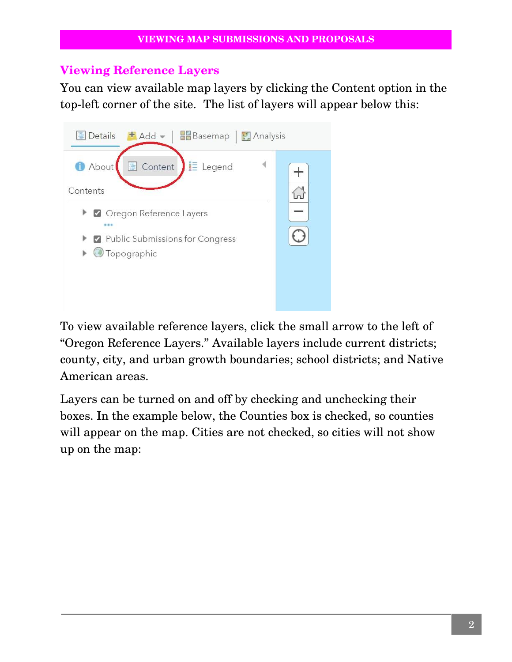#### **Viewing Reference Layers**

You can view available map layers by clicking the Content option in the top-left corner of the site. The list of layers will appear below this:



To view available reference layers, click the small arrow to the left of "Oregon Reference Layers." Available layers include current districts; county, city, and urban growth boundaries; school districts; and Native American areas.

Layers can be turned on and off by checking and unchecking their boxes. In the example below, the Counties box is checked, so counties will appear on the map. Cities are not checked, so cities will not show up on the map: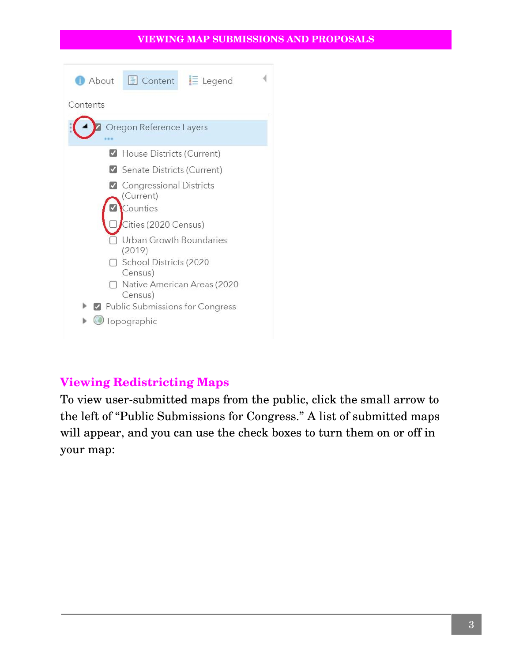#### **VIEWING MAP SUBMISSIONS AND PROPOSALS**



### **Viewing Redistricting Maps**

To view user-submitted maps from the public, click the small arrow to the left of "Public Submissions for Congress." A list of submitted maps will appear, and you can use the check boxes to turn them on or off in your map: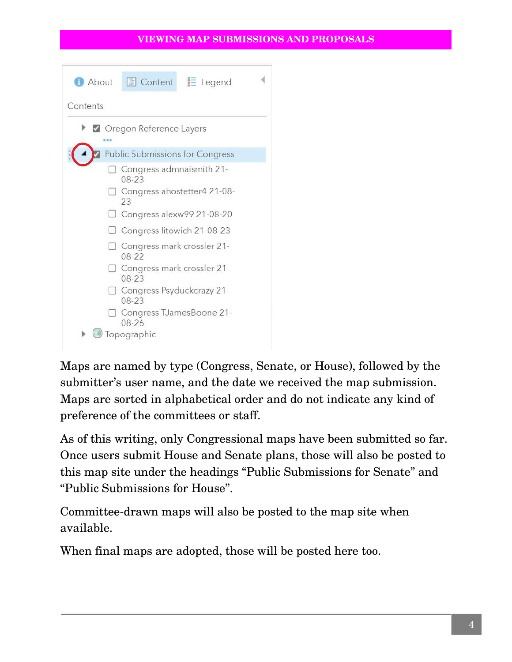#### **VIEWING MAP SUBMISSIONS AND PROPOSALS**



Maps are named by type (Congress, Senate, or House), followed by the submitter's user name, and the date we received the map submission. Maps are sorted in alphabetical order and do not indicate any kind of preference of the committees or staff.

As of this writing, only Congressional maps have been submitted so far. Once users submit House and Senate plans, those will also be posted to this map site under the headings "Public Submissions for Senate" and "Public Submissions for House".

Committee-drawn maps will also be posted to the map site when available.

When final maps are adopted, those will be posted here too.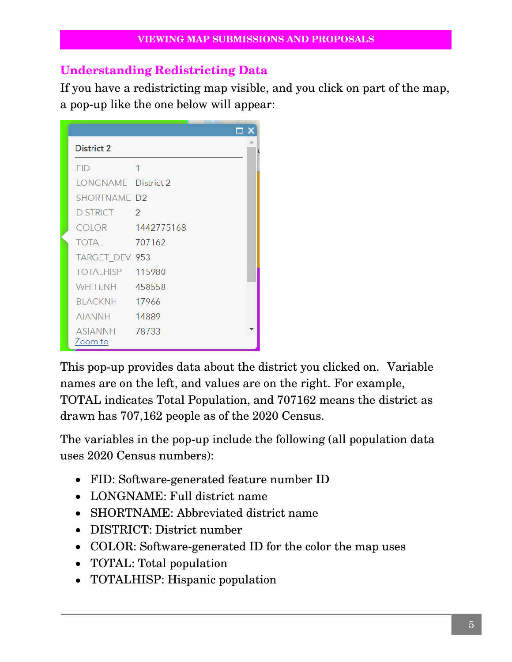#### **Understanding Redistricting Data**

If you have a redistricting map visible, and you click on part of the map, a pop-up like the one below will appear:

| District 2            |               |  |
|-----------------------|---------------|--|
| <b>FID</b>            | 1             |  |
| LONGNAME District 2   |               |  |
| <b>SHORTNAME D2</b>   |               |  |
| <b>DISTRICT</b>       | $\mathcal{P}$ |  |
| COLOR 1442775168      |               |  |
| <b>TOTAL</b>          | 707162        |  |
| TARGET_DEV 953        |               |  |
| TOTALHISP 115980      |               |  |
| <b>WHITENH</b> 458558 |               |  |
| BLACKNH 17966         |               |  |
| AIANNH                | 14889         |  |
| ASIANNH 78733         |               |  |
| Zoom to               |               |  |

This pop-up provides data about the district you clicked on. Variable names are on the left, and values are on the right. For example, TOTAL indicates Total Population, and 707162 means the district as drawn has 707,162 people as of the 2020 Census.

The variables in the pop-up include the following (all population data uses 2020 Census numbers):

- FID: Software-generated feature number ID
- LONGNAME: Full district name
- SHORTNAME: Abbreviated district name
- DISTRICT: District number
- COLOR: Software-generated ID for the color the map uses
- TOTAL: Total population
- TOTALHISP: Hispanic population